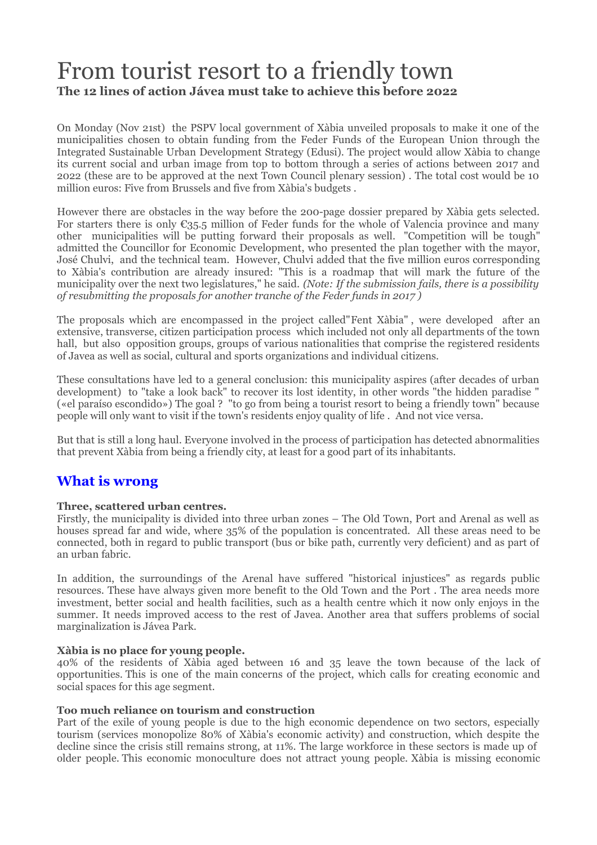# From tourist resort to a friendly town **The 12 lines of action Jávea must take to achieve this before 2022**

On Monday (Nov 21st) the PSPV local government of Xàbia unveiled proposals to make it one of the municipalities chosen to obtain funding from the Feder Funds of the European Union through the Integrated Sustainable Urban Development Strategy (Edusi). The project would allow Xàbia to change its current social and urban image from top to bottom through a series of actions between 2017 and 2022 (these are to be approved at the next Town Council plenary session) . The total cost would be 10 million euros: Five from Brussels and five from Xàbia's budgets .

However there are obstacles in the way before the 200-page dossier prepared by Xàbia gets selected. For starters there is only  $\mathcal{C}_{35,5}$  million of Feder funds for the whole of Valencia province and many other municipalities will be putting forward their proposals as well. "Competition will be tough" admitted the Councillor for Economic Development, who presented the plan together with the mayor, José Chulvi, and the technical team. However, Chulvi added that the five million euros corresponding to Xàbia's contribution are already insured: "This is a roadmap that will mark the future of the municipality over the next two legislatures," he said. *(Note: If the submission fails, there is a possibility of resubmitting the proposals for another tranche of the Feder funds in 2017 )*

The proposals which are encompassed in the project called"Fent Xàbia" , were developed after an extensive, transverse, citizen participation process which included not only all departments of the town hall, but also opposition groups, groups of various nationalities that comprise the registered residents of Javea as well as social, cultural and sports organizations and individual citizens.

These consultations have led to a general conclusion: this municipality aspires (after decades of urban development) to "take a look back" to recover its lost identity, in other words "the hidden paradise " («el paraíso escondido») The goal ? "to go from being a tourist resort to being a friendly town" because people will only want to visit if the town's residents enjoy quality of life . And not vice versa.

But that is still a long haul. Everyone involved in the process of participation has detected abnormalities that prevent Xàbia from being a friendly city, at least for a good part of its inhabitants.

### **What is wrong**

#### **Three, scattered urban centres.**

Firstly, the municipality is divided into three urban zones – The Old Town, Port and Arenal as well as houses spread far and wide, where 35% of the population is concentrated. All these areas need to be connected, both in regard to public transport (bus or bike path, currently very deficient) and as part of an urban fabric.

In addition, the surroundings of the Arenal have suffered "historical injustices" as regards public resources. These have always given more benefit to the Old Town and the Port . The area needs more investment, better social and health facilities, such as a health centre which it now only enjoys in the summer. It needs improved access to the rest of Javea. Another area that suffers problems of social marginalization is Jávea Park.

#### **Xàbia is no place for young people.**

40% of the residents of Xàbia aged between 16 and 35 leave the town because of the lack of opportunities. This is one of the main concerns of the project, which calls for creating economic and social spaces for this age segment.

#### **Too much reliance on tourism and construction**

Part of the exile of young people is due to the high economic dependence on two sectors, especially tourism (services monopolize 80% of Xàbia's economic activity) and construction, which despite the decline since the crisis still remains strong, at 11%. The large workforce in these sectors is made up of older people. This economic monoculture does not attract young people. Xàbia is missing economic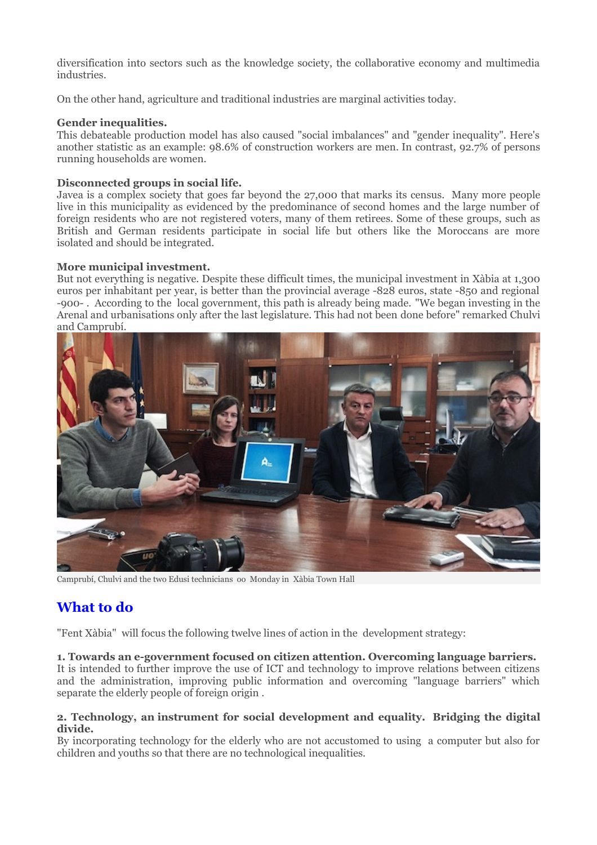diversification into sectors such as the knowledge society, the collaborative economy and multimedia industries.

On the other hand, agriculture and traditional industries are marginal activities today.

#### **Gender inequalities.**

This debateable production model has also caused "social imbalances" and "gender inequality". Here's another statistic as an example: 98.6% of construction workers are men. In contrast, 92.7% of persons running households are women.

#### **Disconnected groups in social life.**

Javea is a complex society that goes far beyond the 27,000 that marks its census. Many more people live in this municipality as evidenced by the predominance of second homes and the large number of foreign residents who are not registered voters, many of them retirees. Some of these groups, such as British and German residents participate in social life but others like the Moroccans are more isolated and should be integrated.

#### **More municipal investment.**

But not everything is negative. Despite these difficult times, the municipal investment in Xàbia at 1,300 euros per inhabitant per year, is better than the provincial average -828 euros, state -850 and regional -900- . According to the local government, this path is already being made. "We began investing in the Arenal and urbanisations only after the last legislature. This had not been done before" remarked Chulvi and Camprubí.



Camprubí, Chulvi and the two Edusi technicians oo Monday in Xàbia Town Hall

## **What to do**

"Fent Xàbia" will focus the following twelve lines of action in the development strategy:

#### **1. Towards an e-government focused on citizen attention. Overcoming language barriers.**

It is intended to further improve the use of ICT and technology to improve relations between citizens and the administration, improving public information and overcoming "language barriers" which separate the elderly people of foreign origin .

#### **2. Technology, an instrument for social development and equality. Bridging the digital divide.**

By incorporating technology for the elderly who are not accustomed to using a computer but also for children and youths so that there are no technological inequalities.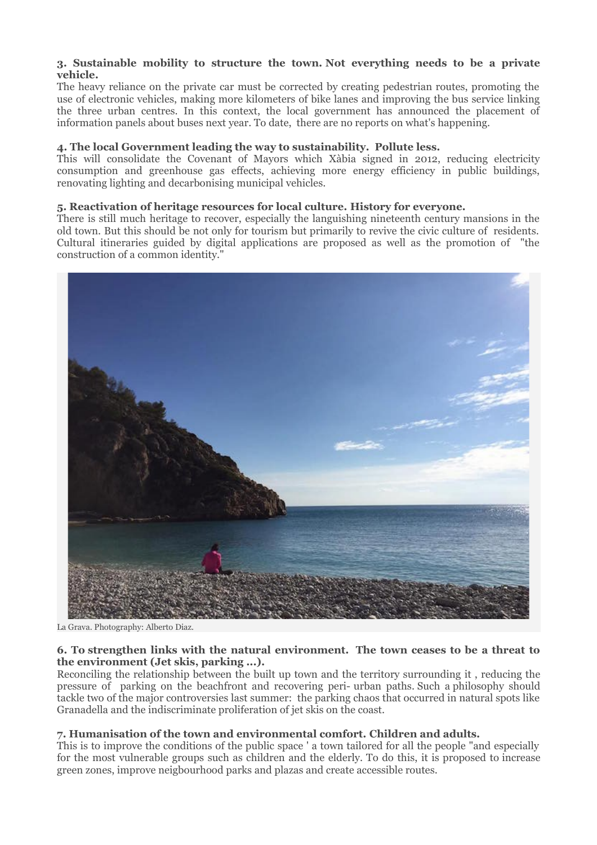#### **3. Sustainable mobility to structure the town. Not everything needs to be a private vehicle.**

The heavy reliance on the private car must be corrected by creating pedestrian routes, promoting the use of electronic vehicles, making more kilometers of bike lanes and improving the bus service linking the three urban centres. In this context, the local government has announced the placement of information panels about buses next year. To date, there are no reports on what's happening.

#### **4. The local Government leading the way to sustainability. Pollute less.**

This will consolidate the Covenant of Mayors which Xàbia signed in 2012, reducing electricity consumption and greenhouse gas effects, achieving more energy efficiency in public buildings, renovating lighting and decarbonising municipal vehicles.

#### **5. Reactivation of heritage resources for local culture. History for everyone.**

There is still much heritage to recover, especially the languishing nineteenth century mansions in the old town. But this should be not only for tourism but primarily to revive the civic culture of residents. Cultural itineraries guided by digital applications are proposed as well as the promotion of "the construction of a common identity."



La Grava. Photography: Alberto Diaz.

#### **6. To strengthen links with the natural environment. The town ceases to be a threat to the environment (Jet skis, parking ...).**

Reconciling the relationship between the built up town and the territory surrounding it , reducing the pressure of parking on the beachfront and recovering peri- urban paths. Such a philosophy should tackle two of the major controversies last summer: the parking chaos that occurred in natural spots like Granadella and the indiscriminate proliferation of jet skis on the coast.

#### **7. Humanisation of the town and environmental comfort. Children and adults.**

This is to improve the conditions of the public space ' a town tailored for all the people "and especially for the most vulnerable groups such as children and the elderly. To do this, it is proposed to increase green zones, improve neigbourhood parks and plazas and create accessible routes.